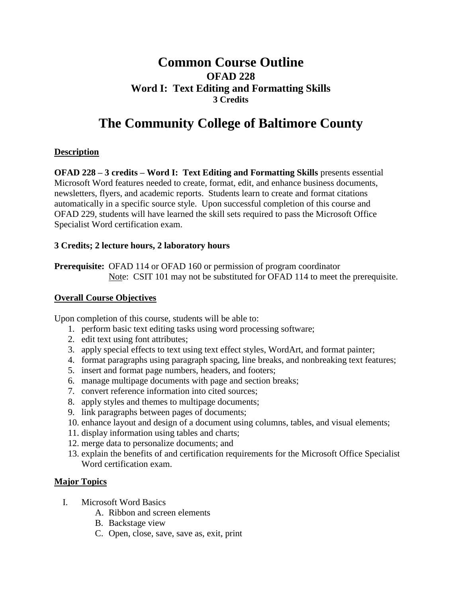## **Common Course Outline OFAD 228 Word I: Text Editing and Formatting Skills 3 Credits**

# **The Community College of Baltimore County**

### **Description**

**OFAD 228 – 3 credits – Word I: Text Editing and Formatting Skills** presents essential Microsoft Word features needed to create, format, edit, and enhance business documents, newsletters, flyers, and academic reports. Students learn to create and format citations automatically in a specific source style. Upon successful completion of this course and OFAD 229, students will have learned the skill sets required to pass the Microsoft Office Specialist Word certification exam.

#### **3 Credits; 2 lecture hours, 2 laboratory hours**

**Prerequisite:** OFAD 114 or OFAD 160 or permission of program coordinator Note: CSIT 101 may not be substituted for OFAD 114 to meet the prerequisite.

#### **Overall Course Objectives**

Upon completion of this course, students will be able to:

- 1. perform basic text editing tasks using word processing software;
- 2. edit text using font attributes;
- 3. apply special effects to text using text effect styles, WordArt, and format painter;
- 4. format paragraphs using paragraph spacing, line breaks, and nonbreaking text features;
- 5. insert and format page numbers, headers, and footers;
- 6. manage multipage documents with page and section breaks;
- 7. convert reference information into cited sources;
- 8. apply styles and themes to multipage documents;
- 9. link paragraphs between pages of documents;
- 10. enhance layout and design of a document using columns, tables, and visual elements;
- 11. display information using tables and charts;
- 12. merge data to personalize documents; and
- 13. explain the benefits of and certification requirements for the Microsoft Office Specialist Word certification exam.

#### **Major Topics**

- I. Microsoft Word Basics
	- A. Ribbon and screen elements
	- B. Backstage view
	- C. Open, close, save, save as, exit, print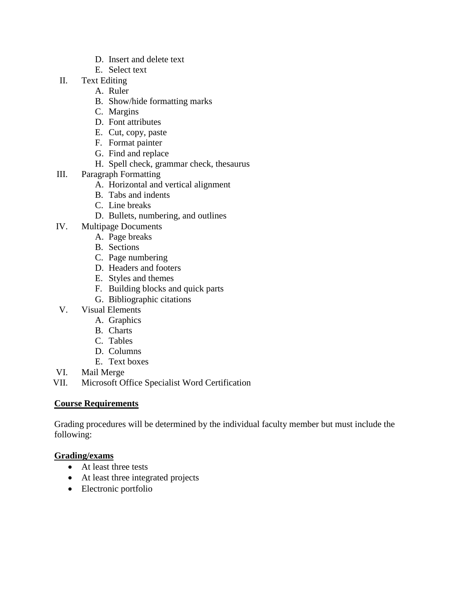- D. Insert and delete text
- E. Select text
- II. Text Editing
	- A. Ruler
	- B. Show/hide formatting marks
	- C. Margins
	- D. Font attributes
	- E. Cut, copy, paste
	- F. Format painter
	- G. Find and replace
	- H. Spell check, grammar check, thesaurus
- III. Paragraph Formatting
	- A. Horizontal and vertical alignment
	- B. Tabs and indents
	- C. Line breaks
	- D. Bullets, numbering, and outlines
- IV. Multipage Documents
	- A. Page breaks
	- B. Sections
	- C. Page numbering
	- D. Headers and footers
	- E. Styles and themes
	- F. Building blocks and quick parts
	- G. Bibliographic citations
- V. Visual Elements
	- A. Graphics
	- B. Charts
	- C. Tables
	- D. Columns
	- E. Text boxes
- VI. Mail Merge
- VII. Microsoft Office Specialist Word Certification

#### **Course Requirements**

Grading procedures will be determined by the individual faculty member but must include the following:

#### **Grading/exams**

- At least three tests
- At least three integrated projects
- Electronic portfolio